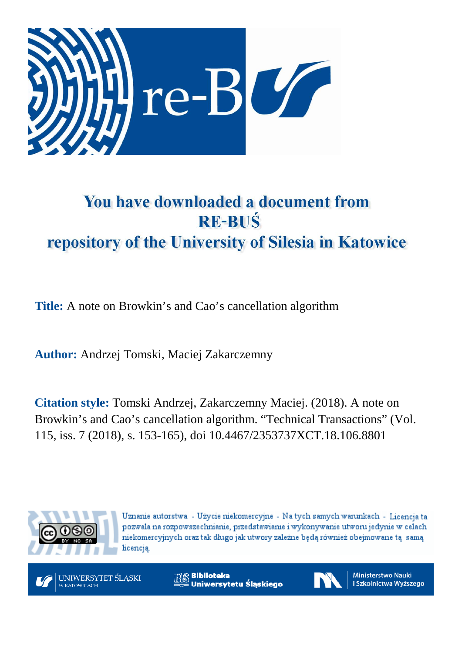

# You have downloaded a document from **RE-BUŚ** repository of the University of Silesia in Katowice

**Title:** A note on Browkin's and Cao's cancellation algorithm

**Author:** Andrzej Tomski, Maciej Zakarczemny

**Citation style:** Tomski Andrzej, Zakarczemny Maciej. (2018). A note on Browkin's and Cao's cancellation algorithm. "Technical Transactions" (Vol. 115, iss. 7 (2018), s. 153-165), doi 10.4467/2353737XCT.18.106.8801



Uznanie autorstwa - Użycie niekomercyjne - Na tych samych warunkach - Licencja ta pozwala na rozpowszechnianie, przedstawianie i wykonywanie utworu jedynie w celach niekomercyjnych oraz tak długo jak utwory zależne będą również obejmowane tą samą licencia.



**Biblioteka** Uniwersytetu Śląskiego



**Ministerstwo Nauki** i Szkolnictwa Wyższego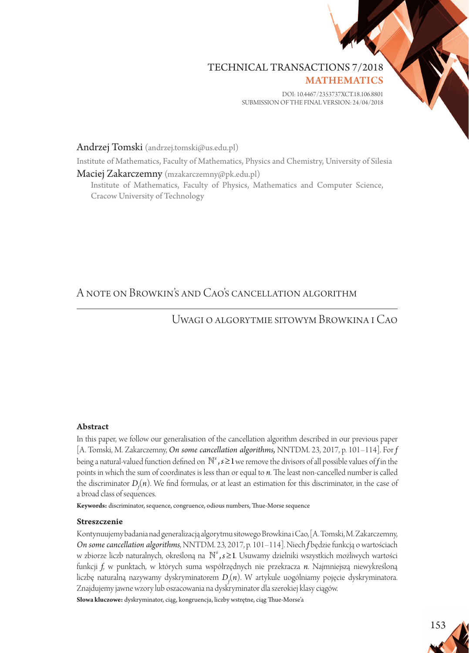# TECHNICAL TRANSACTIONS 7/2018

**MATHEMATICS** 

DOI: 10.4467/2353737XCT.18.106.8801 submission of the final version: 24/04/2018

Andrzej Tomski (andrzej.tomski@us.edu.pl)

Institute of Mathematics, Faculty of Mathematics, Physics and Chemistry, University of Silesia

Maciej Zakarczemny (mzakarczemny@pk.edu.pl) Institute of Mathematics, Faculty of Physics, Mathematics and Computer Science, Cracow University of Technology

# A note on Browkin's and Cao's cancellation algorithm

## Uwagi o algorytmie sitowym Browkina i Cao

#### Abstract

In this paper, we follow our generalisation of the cancellation algorithm described in our previous paper [A. Tomski, M. Zakarczemny, *On some cancellation algorithms,* NNTDM. 23, 2017, p. 101–114]. For *f* being a natural-valued function defined on *ℕ*<sup>5</sup>, s≥1 we remove the divisors of all possible values of f in the points in which the sum of coordinates is less than or equal to *n*. The least non-cancelled number is called the discriminator  $D_f(n)$ . We find formulas, or at least an estimation for this discriminator, in the case of a broad class of sequences.

**Keywords:** discriminator, sequence, congruence, odious numbers, Thue-Morse sequence

#### Streszczenie

Kontynuujemy badania nad generalizacją algorytmu sitowego Browkina i Cao, [A. Tomski, M. Zakarczemny, *On some cancellation algorithms*, NNTDM. 23, 2017, p. 101–114]. Niech *f* będzie funkcją o wartościach w zbiorze liczb naturalnych, określoną na *<sup>s</sup>* ,*s* ≥1. Usuwamy dzielniki wszystkich możliwych wartości funkcji *f*, w punktach, w których suma współrzędnych nie przekracza *n*. Najmniejszą niewykreśloną liczbę naturalną nazywamy dyskryminatorem *Df* (*n*). W artykule uogólniamy pojęcie dyskryminatora. Znajdujemy jawne wzory lub oszacowania na dyskryminator dla szerokiej klasy ciągów.

**Słowa kluczowe:** dyskryminator, ciąg, kongruencja, liczby wstrętne, ciąg Thue-Morse'a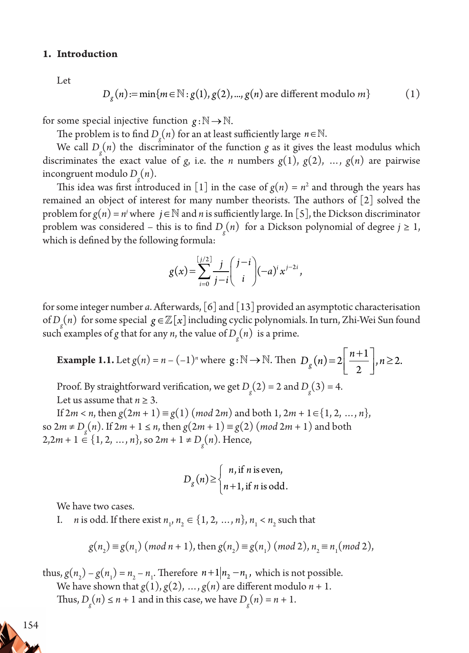#### **1. Introduction**

Let

$$
D_g(n) := \min\{m \in \mathbb{N} : g(1), g(2), ..., g(n) \text{ are different modulo } m\}
$$
 (1)

for some special injective function  $g: \mathbb{N} \to \mathbb{N}$ .

The problem is to find  $D_g(n)$  for an at least sufficiently large  $n \in \mathbb{N}$ .

We call  $D_g(n)$  the discriminator of the function *g* as it gives the least modulus which discriminates the exact value of *g*, i.e. the *n* numbers  $g(1)$ ,  $g(2)$ , ...,  $g(n)$  are pairwise incongruent modulo *Dg* (*n*).

This idea was first introduced in [1] in the case of  $g(n) = n^2$  and through the years has remained an object of interest for many number theorists. The authors of [2] solved the problem for  $g(n) = n^j$  where  $j \in \mathbb{N}$  and  $n$  is sufficiently large. In [5], the Dickson discriminator problem was considered – this is to find  $D_g(n)$  for a Dickson polynomial of degree  $j \ge 1$ , which is defined by the following formula:

$$
g(x) = \sum_{i=0}^{\left[\frac{j}{2}\right]} \frac{j}{j-i} \binom{j-i}{i} (-a)^{i} x^{j-2i},
$$

for some integer number *a*. Afterwards, [6] and [13] provided an asymptotic characterisation of  $D_g(n)$  for some special  $g \in \mathbb{Z}[x]$  including cyclic polynomials. In turn, Zhi-Wei Sun found such examples of *g* that for any *n*, the value of  $D_g(n)$  is a prime.

**Example 1.1.** Let 
$$
g(n) = n - (-1)^n
$$
 where  $g: \mathbb{N} \to \mathbb{N}$ . Then  $D_g(n) = 2\left[\frac{n+1}{2}\right], n \ge 2$ .

Proof. By straightforward verification, we get  $D_g(2) = 2$  and  $D_g(3) = 4$ . Let us assume that  $n > 3$ .

If  $2m < n$ , then  $g(2m + 1) \equiv g(1) \pmod{2m}$  and both  $1, 2m + 1 \in \{1, 2, ..., n\}$ , so 2*m* ≠ *D*<sub>g</sub>(*n*). If 2*m* + 1 ≤ *n*, then  $g(2m + 1) \equiv g(2)$  (*mod* 2*m* + 1) and both  $2,2m+1 \in \{1, 2, ..., n\}$ , so  $2m+1 \neq D_g(n)$ . Hence,

$$
D_g(n) \ge \begin{cases} n, \text{if } n \text{ is even,} \\ n+1, \text{if } n \text{ is odd.} \end{cases}
$$

We have two cases.

I. *n* is odd. If there exist  $n_1, n_2 \in \{1, 2, ..., n\}, n_1 < n_2$  such that

$$
g(n_2) \equiv g(n_1) \pmod{n+1}
$$
, then  $g(n_2) \equiv g(n_1) \pmod{2}$ ,  $n_2 \equiv n_1 \pmod{2}$ ,

thus,  $g(n_2) - g(n_1) = n_2 - n_1$ . Therefore  $n+1 \mid n_2 - n_1$ , which is not possible. We have shown that  $g(1), g(2), ..., g(n)$  are different modulo  $n + 1$ . Thus,  $D_g(n) \le n + 1$  and in this case, we have  $D_g(n) = n + 1$ .

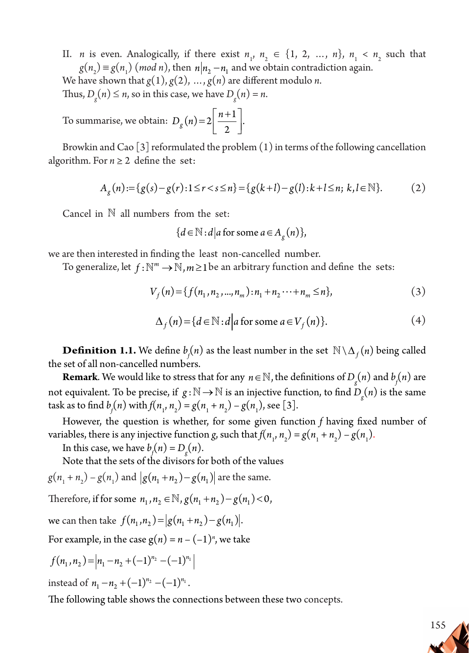II. *n* is even. Analogically, if there exist  $n_1$ ,  $n_2 \in \{1, 2, ..., n\}$ ,  $n_1 < n_2$  such that  $g(n_2) \equiv g(n_1) \pmod{n}$ , then  $n \mid n_2 - n_1$  and we obtain contradiction again.

We have shown that  $g(1), g(2), ..., g(n)$  are different modulo *n*.

Thus,  $D_g(n) \le n$ , so in this case, we have  $D_g(n) = n$ .

To summarise, we obtain:  $D_g(n) = 2\left[\frac{n+1}{2}\right]$ .  $\frac{1}{2}$ 

Browkin and Cao  $\lceil 3 \rceil$  reformulated the problem  $(1)$  in terms of the following cancellation algorithm. For  $n \geq 2$  define the set:

$$
A_g(n) := \{ g(s) - g(r) : 1 \le r < s \le n \} = \{ g(k+l) - g(l) : k+l \le n; \ k, l \in \mathbb{N} \}. \tag{2}
$$

Cancel in  $N$  all numbers from the set:

 ${d \in \mathbb{N} : d | a \text{ for some } a \in A_{\varphi}(n)},$ 

we are then interested in finding the least non-cancelled number.

To generalize, let  $f : \mathbb{N}^m \to \mathbb{N}, m \geq 1$  be an arbitrary function and define the sets:

$$
V_f(n) = \{ f(n_1, n_2, ..., n_m) : n_1 + n_2 \cdots + n_m \le n \},\tag{3}
$$

$$
\Delta_f(n) = \{ d \in \mathbb{N} : d \mid a \text{ for some } a \in V_f(n) \}. \tag{4}
$$

**Definition 1.1.** We define  $b_f(n)$  as the least number in the set  $\mathbb{N} \setminus \Delta_f(n)$  being called the set of all non-cancelled numbers.

**Remark**. We would like to stress that for any  $n \in \mathbb{N}$ , the definitions of  $D_g(n)$  and  $b_f(n)$  are not equivalent. To be precise, if  $g:\mathbb{N} \to \mathbb{N}$  is an injective function, to find  $D_g(n)$  is the same task as to find  $b_j(n)$  with  $f(n_1, n_2) = g(n_1 + n_2) - g(n_1)$ , see [3].

However, the question is whether, for some given function *f* having fixed number of variables, there is any injective function *g*, such that  $f(n_1, n_2) = g(n_1 + n_2) - g(n_1)$ .

In this case, we have  $b_f(n) = D_g(n)$ .

Note that the sets of the divisors for both of the values

 $g(n_1 + n_2) - g(n_1)$  and  $|g(n_1 + n_2) - g(n_1)|$  are the same.

Therefore, if for some  $n_1, n_2 \in \mathbb{N}$ ,  $g(n_1 + n_2) - g(n_1) < 0$ ,

we can then take  $f(n_1, n_2) = |g(n_1 + n_2) - g(n_1)|$ .

For example, in the case  $g(n) = n - (-1)^n$ , we take

$$
f(n_1, n_2) = |n_1 - n_2 + (-1)^{n_2} - (-1)^{n_1}|
$$

instead of  $n_1 - n_2 + (-1)^{n_2} - (-1)^{n_1}$ .

The following table shows the connections between these two concepts.

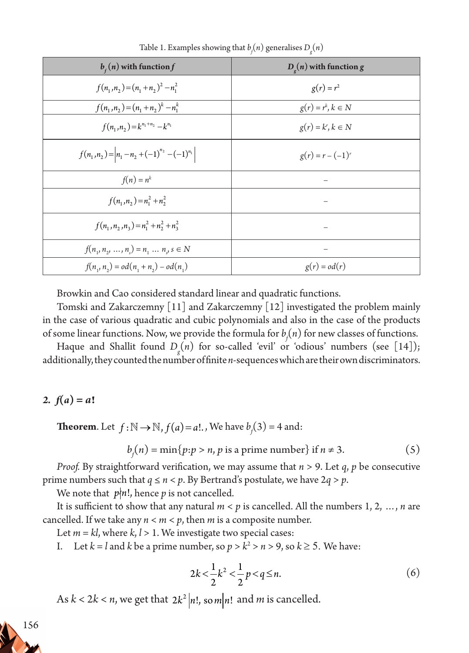| $bf(n)$ with function f                               | $De(n)$ with function g |
|-------------------------------------------------------|-------------------------|
| $f(n_1, n_2) = (n_1 + n_2)^2 - n_1^2$                 | $g(r) = r^2$            |
| $f(n_1, n_2) = (n_1 + n_2)^k - n_1^k$                 | $g(r) = r^k, k \in N$   |
| $f(n_1, n_2) = k^{n_1+n_2} - k^{n_1}$                 | $g(r) = k^r, k \in N$   |
| $f(n_1, n_2) =  n_1 - n_2 + (-1)^{n_2} - (-1)^{n_1} $ | $g(r) = r - (-1)^r$     |
| $f(n) = n^k$                                          |                         |
| $f(n_1, n_2) = n_1^2 + n_2^2$                         |                         |
| $f(n_1, n_2, n_3) = n_1^2 + n_2^2 + n_3^2$            |                         |
| $f(n_1, n_2, , n_n) = n_1  n_j$ s $\in N$             |                         |
| $f(n_1, n_2) = od(n_1 + n_2) - od(n_1)$               | $g(r) = od(r)$          |

Table 1. Examples showing that  $b_j(n)$  generalises  $D_g(n)$ 

Browkin and Cao considered standard linear and quadratic functions.

Tomski and Zakarczemny [11] and Zakarczemny [12] investigated the problem mainly in the case of various quadratic and cubic polynomials and also in the case of the products of some linear functions. Now, we provide the formula for  $b_f(n)$  for new classes of functions.

Haque and Shallit found *Dg* (*n*) for so-called 'evil' or 'odious' numbers (see [14]); additionally, they counted the number of finite *n*-sequences which are their own discriminators.

### 2.  $f(a) = a!$

**Theorem**. Let  $f : \mathbb{N} \to \mathbb{N}$ ,  $f(a) = a!$ ., We have  $b_f(3) = 4$  and:

$$
bf(n) = \min\{p : p > n, p \text{ is a prime number}\} \text{ if } n \neq 3. \tag{5}
$$

*Proof.* By straightforward verification, we may assume that *n* > 9. Let *q*, *p* be consecutive prime numbers such that  $q \le n < p$ . By Bertrand's postulate, we have  $2q > p$ .

We note that  $p \nmid n!$ , hence p is not cancelled.

It is sufficient to show that any natural *m* < *p* is cancelled. All the numbers 1, 2, …, *n* are cancelled. If we take any  $n < m < p$ , then *m* is a composite number.

Let *m* = *kl*, where *k*, *l* > 1. We investigate two special cases:

I. Let  $k = l$  and  $k$  be a prime number, so  $p > k^2 > n > 9$ , so  $k \ge 5$ . We have:

$$
2k < \frac{1}{2}k^2 < \frac{1}{2}p < q \le n.
$$
 (6)

As  $k < 2k < n$ , we get that  $2k^2 |n!$ , so  $m|n!$  and  $m$  is cancelled.

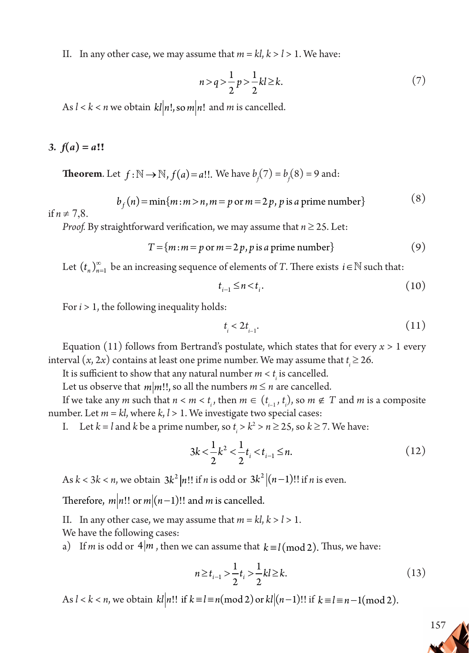II. In any other case, we may assume that  $m = kl, k > l > 1$ . We have:

$$
n > q > \frac{1}{2} p > \frac{1}{2} kl \ge k. \tag{7}
$$

As  $l < k < n$  we obtain  $kl|n!$ , so  $m|n!$  and  $m$  is cancelled.

# 3.  $f(a) = a!!$

**Theorem.** Let  $f : \mathbb{N} \to \mathbb{N}$ ,  $f(a) = a!!$ . We have  $b_f(7) = b_f(8) = 9$  and:

$$
b_f(n) = \min\{m : m > n, m = p \text{ or } m = 2p, p \text{ is a prime number}\}\tag{8}
$$

if  $n \neq 7,8$ .

*Proof.* By straightforward verification, we may assume that  $n \ge 25$ . Let:

$$
T = \{m : m = p \text{ or } m = 2p, p \text{ is a prime number}\}\
$$
\n(9)

Let  $(t_n)_{n=1}^{\infty}$  be an increasing sequence of elements of *T*. There exists  $i \in \mathbb{N}$  such that:

$$
t_{i-1} \le n < t_i. \tag{10}
$$

For *i* > 1, the following inequality holds:

$$
t_i < 2t_{i-1}.\tag{11}
$$

Equation (11) follows from Bertrand's postulate, which states that for every  $x > 1$  every interval  $(x, 2x)$  contains at least one prime number. We may assume that  $t_i \ge 26$ .

It is sufficient to show that any natural number  $m < t$ <sub>i</sub> is cancelled.

Let us observe that  $m|m!!$ , so all the numbers  $m \le n$  are cancelled.

If we take any *m* such that  $n < m < t_i$ , then  $m \in (t_{i-1}, t_i)$ , so  $m \notin T$  and *m* is a composite number. Let  $m = kl$ , where  $k, l > 1$ . We investigate two special cases:

I. Let  $k = l$  and  $k$  be a prime number, so  $t_i > k^2 > n \ge 25$ , so  $k \ge 7$ . We have:

$$
3k < \frac{1}{2}k^2 < \frac{1}{2}t_i < t_{i-1} \le n.
$$
 (12)

As  $k < 3k < n$ , we obtain  $3k^2 |n!$ ! if *n* is odd or  $3k^2 |(n-1)!$ ! if *n* is even.

Therefore,  $m|n!!$  or  $m|(n-1)!!$  and *m* is cancelled.

II. In any other case, we may assume that  $m = kl, k > l > 1$ .

We have the following cases:

a) If *m* is odd or  $4|m$ , then we can assume that  $k \equiv l \pmod{2}$ . Thus, we have:

$$
n \ge t_{i-1} > \frac{1}{2}t_i > \frac{1}{2}kl \ge k. \tag{13}
$$

As  $l < k < n$ , we obtain  $kl[n!]$  if  $k \equiv l \equiv n \pmod{2}$  or  $kl[(n-1)!]$  if  $k \equiv l \equiv n-1 \pmod{2}$ .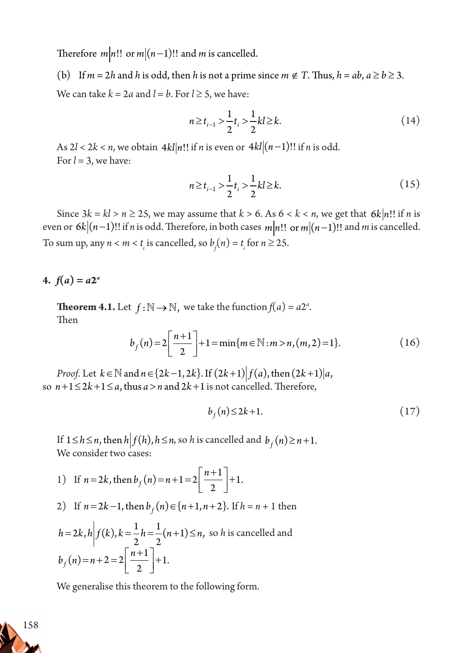Therefore  $m|n!$ ! or  $m|(n-1)!$ ! and *m* is cancelled.

(b) If  $m = 2h$  and  $h$  is odd, then  $h$  is not a prime since  $m \notin T$ . Thus,  $h = ab$ ,  $a \ge b \ge 3$ . We can take  $k = 2a$  and  $l = b$ . For  $l \ge 5$ , we have:

$$
n \ge t_{i-1} > \frac{1}{2}t_i > \frac{1}{2}kl \ge k. \tag{14}
$$

As  $2l < 2k < n$ , we obtain  $4kl[n!!$  if *n* is even or  $4kl[(n-1)!!$  if *n* is odd. For  $l = 3$ , we have:

$$
n \ge t_{i-1} > \frac{1}{2}t_i > \frac{1}{2}kl \ge k. \tag{15}
$$

Since  $3k = kl > n \ge 25$ , we may assume that  $k > 6$ . As  $6 < k < n$ , we get that  $6k \mid n!$ ! if *n* is even or  $6k|(n-1)!!$  if *n* is odd. Therefore, in both cases  $m|n!!$  or  $m|(n-1)!!$  and *m* is cancelled. To sum up, any  $n < m < t$ <sub>*i*</sub> is cancelled, so  $b_f(n) = t$ <sub>*i*</sub> for  $n \ge 25$ .

4.  $f(a) = a2^a$ 

**Theorem 4.1.** Let  $f : \mathbb{N} \to \mathbb{N}$ , we take the function  $f(a) = a2^a$ . Then

$$
b_f(n) = 2\left[\frac{n+1}{2}\right] + 1 = \min\{m \in \mathbb{N} : m > n, (m, 2) = 1\}.
$$
 (16)

*Proof.* Let  $k \in \mathbb{N}$  and  $n \in \{2k-1, 2k\}$ . If  $(2k+1) | f(a)$ , then  $(2k+1) | a$ , so  $n+1 \leq 2k+1 \leq a$ , thus  $a > n$  and  $2k+1$  is not cancelled. Therefore,

$$
b_f(n) \le 2k+1. \tag{17}
$$

If 1≤*h* ≤*n*, then  $h| f(h)$ ,  $h$  ≤*n*, so *h* is cancelled and  $b<sub>f</sub>(n) ≥ n+1$ . We consider two cases:

1) If 
$$
n = 2k
$$
, then  $b_f(n) = n + 1 = 2\left[\frac{n+1}{2}\right] + 1$ .

2) If 
$$
n = 2k - 1
$$
, then  $b_f(n) \in \{n+1, n+2\}$ . If  $h = n + 1$  then

$$
h = 2k, h \left| f(k), k = \frac{1}{2}h = \frac{1}{2}(n+1) \le n, \text{ so } h \text{ is cancelled and}
$$
  

$$
b_f(n) = n + 2 = 2\left[\frac{n+1}{2}\right] + 1.
$$

We generalise this theorem to the following form.

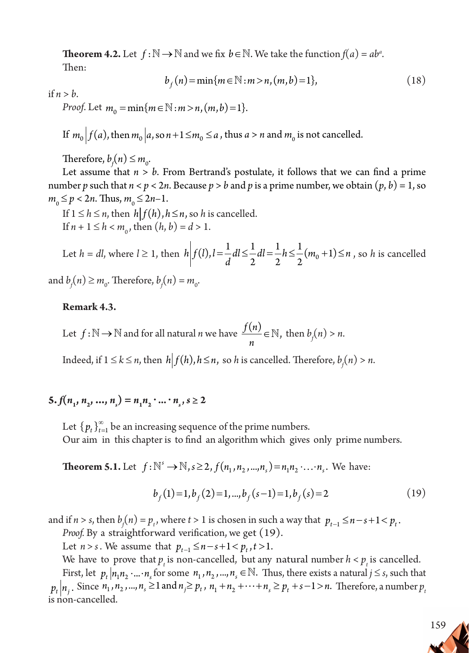**Theorem 4.2.** Let  $f : \mathbb{N} \to \mathbb{N}$  and we fix  $b \in \mathbb{N}$ . We take the function  $f(a) = ab^a$ . Then:

$$
b_f(n) = \min\{m \in \mathbb{N} : m > n, (m, b) = 1\},\tag{18}
$$

if  $n > b$ .

*Proof.* Let  $m_0 = \min\{m \in \mathbb{N} : m > n, (m, b) = 1\}.$ 

If  $m_0 \Big| f(a)$ , then  $m_0 \Big| a$ , so  $n+1 \le m_0 \le a$  , thus  $a > n$  and  $m_0$  is not cancelled.

Therefore,  $b_f(n) \leq m_o$ .

Let assume that *n* > *b*. From Bertrand's postulate, it follows that we can find a prime number *p* such that  $n < p < 2n$ . Because  $p > b$  and *p* is a prime number, we obtain  $(p, b) = 1$ , so  $m_0 \le p < 2n$ . Thus,  $m_0 \le 2n-1$ .

If  $1 \leq h \leq n$ , then  $h | f(h)$ ,  $h \leq n$ , so *h* is cancelled. If  $n + 1 \le h < m_0$ , then  $(h, b) = d > 1$ .

Let *h* = *dl*, where *l* ≥ 1, then  $h \left| f(l)$ , *l* =  $\frac{1}{d}$ *dl* ≤  $\frac{1}{2}$ *dl* =  $\frac{1}{2}$ *h* ≤  $\frac{1}{2}$ (*m*<sub>0</sub> + 1) ≤ *n* 2 1 2 1  $\frac{1}{2}(m_0+1) \leq n$ , so *h* is cancelled

and  $b_f(n) \ge m_o$ . Therefore,  $b_f(n) = m_o$ .

#### **Remark 4.3.**

Let 
$$
f : \mathbb{N} \to \mathbb{N}
$$
 and for all natural *n* we have  $\frac{f(n)}{n} \in \mathbb{N}$ , then  $b_f(n) > n$ .

Indeed, if  $1 \leq k \leq n$ , then  $h \Big| f(h), h \leq n$ , so *h* is cancelled. Therefore,  $b_f(n) > n$ .

# $\mathbf{5.} f(n_1, n_2, \ldots, n_s) = n_1 n_2 \cdot \ldots \cdot n_s, s \geq 2$

Let  $\{p_t\}_{t=1}^{\infty}$  be an increasing sequence of the prime numbers. Our aim in this chapter is to find an algorithm which gives only prime numbers.

**Theorem 5.1.** Let  $f: \mathbb{N}^s \to \mathbb{N}, s \geq 2, f(n_1, n_2, ..., n_s) = n_1 n_2 \cdot ... \cdot n_s$ . We have:

$$
b_f(1) = 1, b_f(2) = 1, ..., b_f(s-1) = 1, b_f(s) = 2
$$
\n(19)

and if  $n > s$ , then  $b_f(n) = p_t$ , where  $t > 1$  is chosen in such a way that  $p_{t-1} \le n - s + 1 < p_t$ .

Proof. By a straightforward verification, we get (19).

Let *n* > *s*. We assume that  $p_{t-1} \le n - s + 1 < p_t, t > 1$ .

We have to prove that  $p_t$  is non-cancelled, but any natural number  $h < p_t$  is cancelled. First, let  $p_t | n_1 n_2 \cdot ... \cdot n_s$  for some  $n_1, n_2, ..., n_s \in \mathbb{N}$ . Thus, there exists a natural  $j \le s$ , such that  $p_t | n_i$ . Since  $n_1, n_2, ..., n_s \ge 1$  and  $n_j \ge p_t, n_1 + n_2 + \cdots + n_s \ge p_t + s - 1 > n$ . Therefore, a number  $p_t$ is non-cancelled.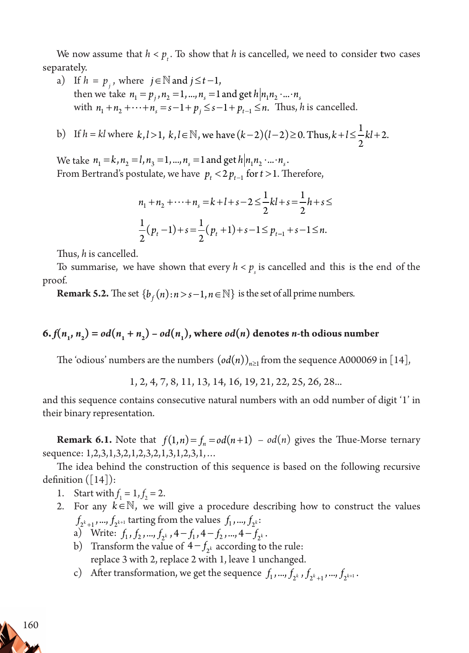We now assume that  $h < p_t$ . To show that  $h$  is cancelled, we need to consider two cases separately.

a) If  $h = p_i$ , where  $j \in \mathbb{N}$  and  $j \le t-1$ , then we take  $n_1 = p_i$ ,  $n_2 = 1$ , ...,  $n_s = 1$  and get  $h|n_1 n_2 \cdot ... \cdot n_s$ with  $n_1 + n_2 + \cdots + n_s = s - 1 + p_i \leq s - 1 + p_{t-1} \leq n$ . Thus, *h* is cancelled.

b) If  $h = kl$  where  $k, l > 1, k, l \in \mathbb{N}$ , we have  $(k-2)(l-2) \ge 0$ . Thus,  $k + l \le \frac{1}{2}kl + 2$ . 2 N, we have  $(k-2)(l-2) \ge 0$ . Thus,  $k+l \le -k^2+2$ 

We take  $n_1 = k$ ,  $n_2 = l$ ,  $n_3 = 1$ , ...,  $n_s = 1$  and get  $h|n_1 n_2 \cdot ... \cdot n_s$ . From Bertrand's postulate, we have  $p_t < 2p_{t-1}$  for  $t > 1$ . Therefore,

$$
n_1 + n_2 + \dots + n_s = k + l + s - 2 \le \frac{1}{2}kl + s = \frac{1}{2}h + s \le
$$
  

$$
\frac{1}{2}(p_t - 1) + s = \frac{1}{2}(p_t + 1) + s - 1 \le p_{t-1} + s - 1 \le n.
$$

Thus, *h* is cancelled.

To summarise, we have shown that every  $h < p_s$  is cancelled and this is the end of the proof.

**Remark 5.2.** The set  $\{b_f(n): n > s-1, n \in \mathbb{N}\}\$ is the set of all prime numbers.

# 6.  $f(n_1, n_2) = od(n_1 + n_2) - od(n_1)$ , where  $od(n)$  denotes *n*-th odious number

The 'odious' numbers are the numbers  $(\textit{od}(n))_{n\geq 1}$  from the sequence A000069 in [14],

1, 2, 4, 7, 8, 11, 13, 14, 16, 19, 21, 22, 25, 26, 28...

and this sequence contains consecutive natural numbers with an odd number of digit '1' in their binary representation.

**Remark 6.1.** Note that  $f(1,n) = f_n = od(n+1) - od(n)$  gives the Thue-Morse ternary sequence: 1,2,3,1,3,2,1,2,3,2,1,3,1,2,3,1,...

The idea behind the construction of this sequence is based on the following recursive definition  $($ [14] $)$ :

- 1. Start with  $f_1 = 1, f_2 = 2$ .
- 2. For any  $k \in \mathbb{N}$ , we will give a procedure describing how to construct the values  $f_{2^{k}+1}$ , ...,  $f_{2^{k+1}}$  tarting from the values  $f_1$ , ...,  $f_{2^{k}}$ :
	- a) Write:  $f_1, f_2, ..., f_{2^k}, 4-f_1, 4-f_2, ..., 4-f_{2^k}.$
	- b) Transform the value of  $4 f_{2k}$  according to the rule: replace 3 with 2, replace 2 with 1, leave 1 unchanged.
	- c) After transformation, we get the sequence  $f_1$ , ...,  $f_{2^k}$ ,  $f_{2^k+1}$ , ...,  $f_{2^{k+1}}$ .

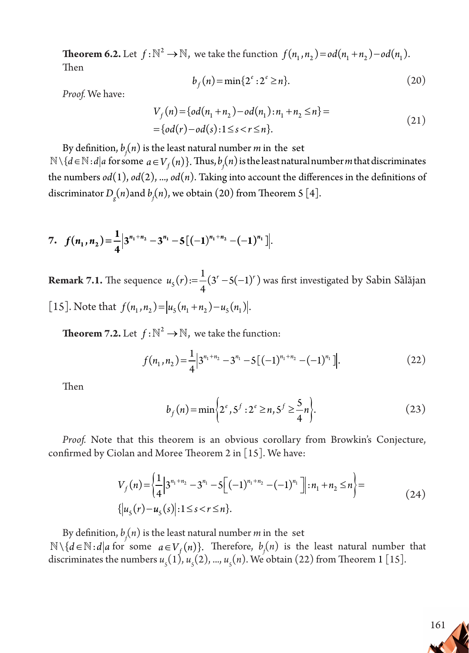**Theorem 6.2.** Let  $f: \mathbb{N}^2 \to \mathbb{N}$ , we take the function  $f(n_1, n_2) = od(n_1 + n_2) - od(n_1)$ . Then

$$
b_f(n) = \min\{2^e : 2^e \ge n\}.
$$
 (20)

*Proof.* We have:

$$
V_f(n) = \{od(n_1 + n_2) - od(n_1) : n_1 + n_2 \le n\} =
$$
  
= \{od(r) - od(s) : 1 \le s < r \le n\}. (21)

By definition,  $b_{\hat{f}}(n)$  is the least natural number  $m$  in the set  $\mathbb{N} \setminus \{d \in \mathbb{N} : d | a \text{ for some } a \in V_f(n)\}.$  Thus,  $b_f(n)$  is the least natural number *m* that discriminates the numbers  $od(1)$ ,  $od(2)$ , ...,  $od(n)$ . Taking into account the differences in the definitions of discriminator  $D_{\stackrel{\scriptstyle g}{\scriptstyle g}}(n)$  and  $b_{\stackrel{\scriptstyle f}{\scriptstyle f}}(n)$ , we obtain (20) from Theorem 5 [4].

7. 
$$
f(n_1, n_2) = \frac{1}{4} \Big| 3^{n_1 + n_2} - 3^{n_1} - 5 \Big[ (-1)^{n_1 + n_2} - (-1)^{n_1} \Big] \Big|
$$

**Remark 7.1.** The sequence  $u_5(r) = \frac{1}{4}(3^r - 5(-1)^r)$  $(r) := \frac{1}{4}(3^r - 5(-1)^r)$  was first investigated by Sabin Sălăjan [15]. Note that  $f(n_1, n_2) = |u_5(n_1 + n_2) - u_5(n_1)|$ .

**Theorem 7.2.** Let  $f: \mathbb{N}^2 \to \mathbb{N}$ , we take the function:

$$
f(n_1, n_2) = \frac{1}{4} \Big| 3^{n_1 + n_2} - 3^{n_1} - 5 \big[ (-1)^{n_1 + n_2} - (-1)^{n_1} \big] \Big|.
$$
 (22)

Then

$$
b_f(n) = \min\left\{2^e, 5^f : 2^e \ge n, 5^f \ge \frac{5}{4}n\right\}.
$$
 (23)

*Proof.* Note that this theorem is an obvious corollary from Browkin's Conjecture, confirmed by Ciolan and Moree Theorem 2 in [15]. We have:

$$
V_f(n) = \left\{ \frac{1}{4} \Big| 3^{n_1 + n_2} - 3^{n_1} - 5 \Big[ (-1)^{n_1 + n_2} - (-1)^{n_1} \Big] \Big| : n_1 + n_2 \le n \right\} =
$$
  
 
$$
\left\{ |u_5(r) - u_5(s)| : 1 \le s < r \le n \right\}.
$$
 (24)

By definition,  $b_{\hat{f}}(n)$  is the least natural number  $m$  in the set  $\mathbb{N} \setminus \{d \in \mathbb{N} : d | a \text{ for some } a \in V_f(n)\}.$  Therefore,  $b_f(n)$  is the least natural number that discriminates the numbers  $u_s(1)$ ,  $u_s(2)$ , ...,  $u_s(n)$ . We obtain (22) from Theorem 1 [15].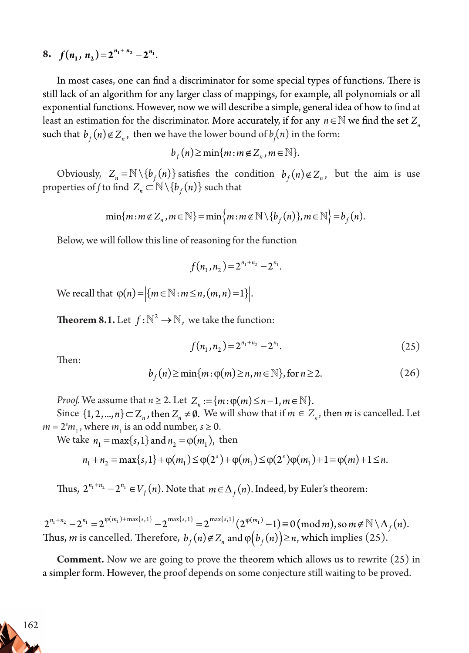8.  $f(n_1, n_2) = 2^{n_1 + n_2} - 2^{n_1}$ .

In most cases, one can find a discriminator for some special types of functions. There is still lack of an algorithm for any larger class of mappings, for example, all polynomials or all exponential functions. However, now we will describe a simple, general idea of how to find at least an estimation for the discriminator. More accurately, if for any *n*∈ N we find the set  $Z_n$ such that  $b_f(n) \notin Z_n$ , then we have the lower bound of  $b_f(n)$  in the form:

$$
b_{f}(n) \geq \min\{m : m \notin Z_n, m \in \mathbb{N}\}.
$$

Obviously,  $Z_n = \mathbb{N} \setminus \{b_f(n)\}\$  satisfies the condition  $b_f(n) \notin Z_n$ , but the aim is use properties of *f* to find  $Z_n \subset \mathbb{N} \setminus \{b_f(n)\}$  such that

$$
\min\{m : m \notin Z_n, m \in \mathbb{N}\} = \min\{m : m \notin \mathbb{N} \setminus \{b_f(n)\}, m \in \mathbb{N}\} = b_f(n).
$$

Below, we will follow this line of reasoning for the function

$$
f(n_1, n_2) = 2^{n_1 + n_2} - 2^{n_1}.
$$

We recall that  $\varphi(n) = |\{ m \in \mathbb{N} : m \le n, (m, n) = 1 \}|$ .

**Theorem 8.1.** Let  $f: \mathbb{N}^2 \to \mathbb{N}$ , we take the function:

$$
f(n_1, n_2) = 2^{n_1 + n_2} - 2^{n_1}.
$$
 (25)

Then:

$$
b_f(n) \ge \min\{m : \varphi(m) \ge n, m \in \mathbb{N}\}, \text{ for } n \ge 2. \tag{26}
$$

*Proof.* We assume that  $n \ge 2$ . Let  $Z_n := \{ m : \varphi(m) \le n-1, m \in \mathbb{N} \}.$ 

Since  $\{1, 2, ..., n\} \subset Z_n$ , then  $Z_n \neq \emptyset$ . We will show that if  $m \in Z_n$ , then *m* is cancelled. Let  $m = 2<sup>s</sup>m<sub>1</sub>$ , where  $m<sub>1</sub>$  is an odd number,  $s \ge 0$ .

We take  $n_1 = \max\{s, 1\}$  and  $n_2 = \varphi(m_1)$ , then

$$
n_1 + n_2 = \max\{s, 1\} + \varphi(m_1) \le \varphi(2^s) + \varphi(m_1) \le \varphi(2^s) \varphi(m_1) + 1 = \varphi(m) + 1 \le n.
$$

Thus,  $2^{n_1+n_2}-2^{n_1} \in V_f(n)$ . Note that  $m \in \Delta_f(n)$ . Indeed, by Euler's theorem:

 $2^{n_1+n_2} - 2^{n_1} = 2^{\varphi(m_1) + \max\{s, 1\}} - 2^{\max\{s, 1\}} = 2^{\max\{s, 1\}} (2^{\varphi(m_1)} - 1) \equiv 0 \pmod{m}$ , so  $m \notin \mathbb{N} \setminus \Delta_f(n)$ . Thus, *m* is cancelled. Therefore,  $b_f(n) \notin Z_n$  and  $\varphi(b_f(n)) \ge n$ , which implies (25).

**Comment.** Now we are going to prove the theorem which allows us to rewrite (25) in a simpler form. However, the proof depends on some conjecture still waiting to be proved.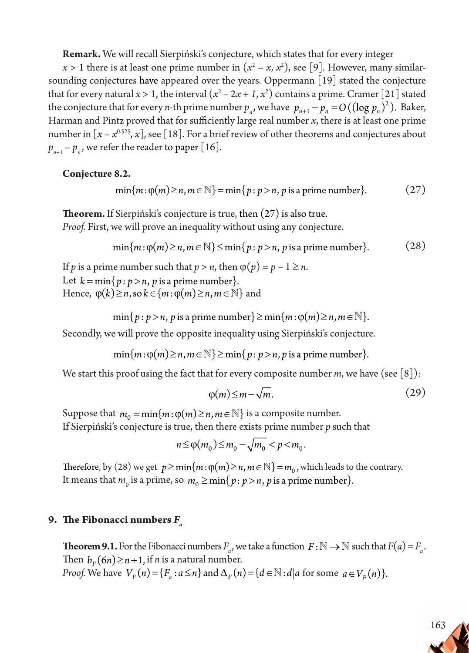**Remark.** We will recall Sierpiński's conjecture, which states that for every integer

 $x > 1$  there is at least one prime number in  $(x^2 - x, x^2)$ , see [9]. However, many similarsounding conjectures have appeared over the years. Oppermann  $\lceil 19 \rceil$  stated the conjecture that for every natural  $x > 1$ , the interval  $(x^2 - 2x + 1, x^2)$  contains a prime. Cramer [21] stated the conjecture that for every *n*-th prime number  $p_n$ , we have  $p_{n+1} - p_n = O((\log p_n)^2)$ . Baker, Harman and Pintz proved that for sufficiently large real number *x*, there is at least one prime number in  $[x - x^{0.525}, x]$ , see [18]. For a brief review of other theorems and conjectures about  $p_{n+1} - p_n$ , we refer the reader to paper [16].

**Conjecture 8.2.**

$$
\min\{m : \varphi(m) \ge n, m \in \mathbb{N}\} = \min\{p : p > n, p \text{ is a prime number}\}. \tag{27}
$$

**Theorem.** If Sierpiński's conjecture is true, then (27) is also true. *Proof.* First, we will prove an inequality without using any conjecture.

$$
\min\{m\colon \varphi(m)\geq n, m\in\mathbb{N}\}\leq \min\{p\colon p>n, p\text{ is a prime number}\}.
$$
 (28)

If *p* is a prime number such that  $p > n$ , then  $\varphi(p) = p - 1 \ge n$ . Let  $k = \min\{p : p > n, p$  is a prime number. Hence,  $\varphi(k) \ge n$ , so  $k \in \{m : \varphi(m) \ge n, m \in \mathbb{N}\}\$ and

$$
\min\{p : p > n, p \text{ is a prime number}\} \ge \min\{m : \varphi(m) \ge n, m \in \mathbb{N}\}.
$$

Secondly, we will prove the opposite inequality using Sierpiński's conjecture.

 $min{m: \varphi(m) \ge n, m \in \mathbb{N}}$   $\ge min{p: p > n, p \text{ is a prime number}}$ .

We start this proof using the fact that for every composite number  $m$ , we have (see [8]):

$$
\varphi(m) \le m - \sqrt{m}.\tag{29}
$$

Suppose that  $m_0 = \min\{m : \varphi(m) \ge n, m \in \mathbb{N}\}\$ is a composite number. If Sierpiński's conjecture is true, then there exists prime number *p* such that

$$
n \leq \varphi(m_0) \leq m_0 - \sqrt{m_0} < p < m_0.
$$

Therefore, by (28) we get  $p \ge \min\{m : \varphi(m) \ge n, m \in \mathbb{N}\} = m_0$ , which leads to the contrary. It means that  $m_0$  is a prime, so  $m_0 \ge \min\{p : p > n$ , p is a prime number}.

### **9.** The Fibonacci numbers  $F_a$

**Theorem 9.1.** For the Fibonacci numbers  $F_a$ , we take a function  $F : \mathbb{N} \to \mathbb{N}$  such that  $F(a) = F_a$ . Then  $b_F(6n) \ge n+1$ , if *n* is a natural number. *Proof.* We have  $V_F(n) = \{F_a : a \le n\}$  and  $\Delta_F(n) = \{d \in \mathbb{N} : d | a \text{ for some } a \in V_F(n)\}.$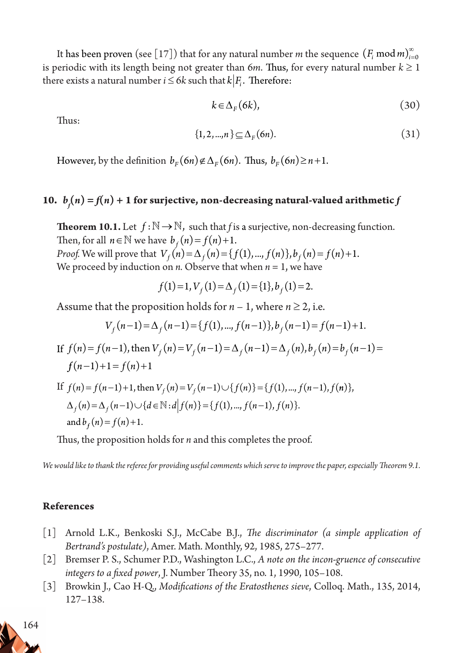It has been proven (see [17]) that for any natural number  $m$  the sequence  $(F_{i}\text{ mod } m)_{i=1}^{\infty}$  $\mathbf{0}$ is periodic with its length being not greater than 6*m*. Thus, for every natural number  $k \geq 1$ there exists a natural number *i*  $\leq$  6*k* such that *k*  $|F_i$ . Therefore:

$$
k \in \Delta_F(6k), \tag{30}
$$

Thus:

$$
\{1, 2, ..., n\} \subseteq \Delta_F(\mathfrak{6}n). \tag{31}
$$

However, by the definition  $b_F(6n) \notin \Delta_F(6n)$ . Thus,  $b_F(6n) \geq n+1$ .

# 10.  $b_f(n) = f(n) + 1$  for surjective, non-decreasing natural-valued arithmetic  $f$

**Theorem 10.1.** Let  $f : \mathbb{N} \to \mathbb{N}$ , such that *f* is a surjective, non-decreasing function. Then, for all  $n \in \mathbb{N}$  we have  $b_f(n) = f(n) + 1$ . *Proof.* We will prove that  $V_f(n) = \Delta_f(n) = \{f(1), ..., f(n)\}, b_f(n) = f(n) + 1$ . We proceed by induction on *n*. Observe that when  $n = 1$ , we have

$$
f(1) = 1, V_f(1) = \Delta_f(1) = \{1\}, b_f(1) = 2.
$$

Assume that the proposition holds for  $n-1$ , where  $n \ge 2$ , i.e.

$$
V_f(n-1) = \Delta_f(n-1) = \{f(1), ..., f(n-1)\}, b_f(n-1) = f(n-1) + 1.
$$

If  $f(n) = f(n-1)$ , then  $V_f(n) = V_f(n-1) = \Delta_f(n-1) = \Delta_f(n)$ ,  $b_f(n) = b_f(n-1) =$  $f(n-1)+1 = f(n)+1$ 

If 
$$
f(n) = f(n-1)+1
$$
, then  $V_f(n) = V_f(n-1) \cup \{f(n)\} = \{f(1),..., f(n-1), f(n)\},$   
\n $\Delta_f(n) = \Delta_f(n-1) \cup \{d \in \mathbb{N} : d | f(n) \} = \{f(1),..., f(n-1), f(n)\}.$   
\nand  $b_f(n) = f(n) + 1$ .

Thus, the proposition holds for *n* and this completes the proof.

*We would like to thank the referee for providing useful comments which serve to improve the paper, especially Theorem 9.1.*

#### **References**

- [1] Arnold L.K., Benkoski S.J., McCabe B.J., *The discriminator (a simple application of Bertrand's postulate)*, Amer. Math. Monthly, 92, 1985, 275–277.
- [2] Bremser P. S., Schumer P.D., Washington L.C., *A note on the incon-gruence of consecutive integers to a fixed power*, J. Number Theory 35, no. 1, 1990, 105–108.
- [3] Browkin J., Cao H-Q., *Modifications of the Eratosthenes sieve*, Colloq. Math., 135, 2014, 127–138.